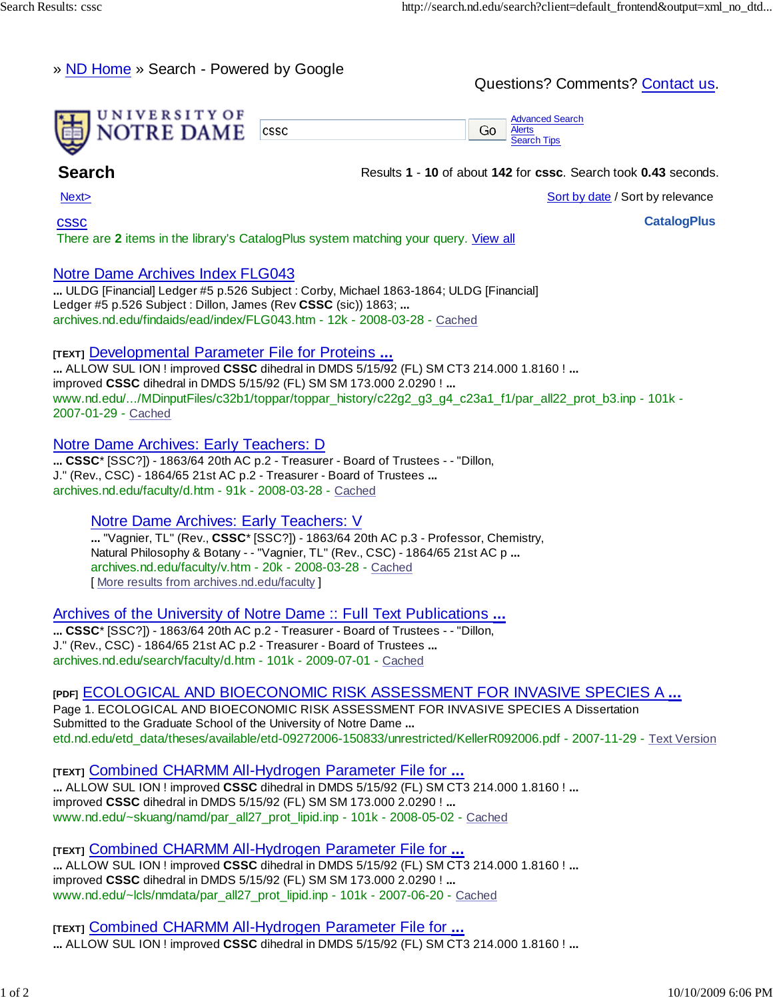# » ND Home » Search - Powered by Google

# Questions? Comments? Contact us.



**Search Results 1 - 10** of about **142** for **cssc**. Search took **0.43** seconds.

Next> Sort by date / Sort by relevance

**CatalogPlus**

cssc

There are **2** items in the library's CatalogPlus system matching your query. View all

# Notre Dame Archives Index FLG043

**...** ULDG [Financial] Ledger #5 p.526 Subject : Corby, Michael 1863-1864; ULDG [Financial] Ledger #5 p.526 Subject : Dillon, James (Rev **CSSC** (sic)) 1863; **...** archives.nd.edu/findaids/ead/index/FLG043.htm - 12k - 2008-03-28 - Cached

### **[TEXT]** Developmental Parameter File for Proteins **...**

**...** ALLOW SUL ION ! improved **CSSC** dihedral in DMDS 5/15/92 (FL) SM CT3 214.000 1.8160 ! **...** improved **CSSC** dihedral in DMDS 5/15/92 (FL) SM SM 173.000 2.0290 ! **...** www.nd.edu/.../MDinputFiles/c32b1/toppar/toppar\_history/c22g2\_g3\_g4\_c23a1\_f1/par\_all22\_prot\_b3.inp - 101k -2007-01-29 - Cached

### Notre Dame Archives: Early Teachers: D

**... CSSC**\* [SSC?]) - 1863/64 20th AC p.2 - Treasurer - Board of Trustees - - "Dillon, J." (Rev., CSC) - 1864/65 21st AC p.2 - Treasurer - Board of Trustees **...** archives.nd.edu/faculty/d.htm - 91k - 2008-03-28 - Cached

# Notre Dame Archives: Early Teachers: V

**...** "Vagnier, TL" (Rev., **CSSC**\* [SSC?]) - 1863/64 20th AC p.3 - Professor, Chemistry, Natural Philosophy & Botany - - "Vagnier, TL" (Rev., CSC) - 1864/65 21st AC p **...** archives.nd.edu/faculty/v.htm - 20k - 2008-03-28 - Cached [ More results from archives.nd.edu/faculty ]

Archives of the University of Notre Dame :: Full Text Publications **...**

**... CSSC**\* [SSC?]) - 1863/64 20th AC p.2 - Treasurer - Board of Trustees - - "Dillon, J." (Rev., CSC) - 1864/65 21st AC p.2 - Treasurer - Board of Trustees **...** archives.nd.edu/search/faculty/d.htm - 101k - 2009-07-01 - Cached

# **[PDF]** ECOLOGICAL AND BIOECONOMIC RISK ASSESSMENT FOR INVASIVE SPECIES A **...**

Page 1. ECOLOGICAL AND BIOECONOMIC RISK ASSESSMENT FOR INVASIVE SPECIES A Dissertation Submitted to the Graduate School of the University of Notre Dame **...** etd.nd.edu/etd\_data/theses/available/etd-09272006-150833/unrestricted/KellerR092006.pdf - 2007-11-29 - Text Version

**[TEXT]** Combined CHARMM All-Hydrogen Parameter File for **... ...** ALLOW SUL ION ! improved **CSSC** dihedral in DMDS 5/15/92 (FL) SM CT3 214.000 1.8160 ! **...** improved **CSSC** dihedral in DMDS 5/15/92 (FL) SM SM 173.000 2.0290 ! **...** www.nd.edu/~skuang/namd/par\_all27\_prot\_lipid.inp - 101k - 2008-05-02 - Cached

**[TEXT]** Combined CHARMM All-Hydrogen Parameter File for **...**

**...** ALLOW SUL ION ! improved **CSSC** dihedral in DMDS 5/15/92 (FL) SM CT3 214.000 1.8160 ! **...** improved **CSSC** dihedral in DMDS 5/15/92 (FL) SM SM 173.000 2.0290 ! **...** www.nd.edu/~lcls/nmdata/par\_all27\_prot\_lipid.inp - 101k - 2007-06-20 - Cached

**[TEXT]** Combined CHARMM All-Hydrogen Parameter File for **... ...** ALLOW SUL ION ! improved **CSSC** dihedral in DMDS 5/15/92 (FL) SM CT3 214.000 1.8160 ! **...**